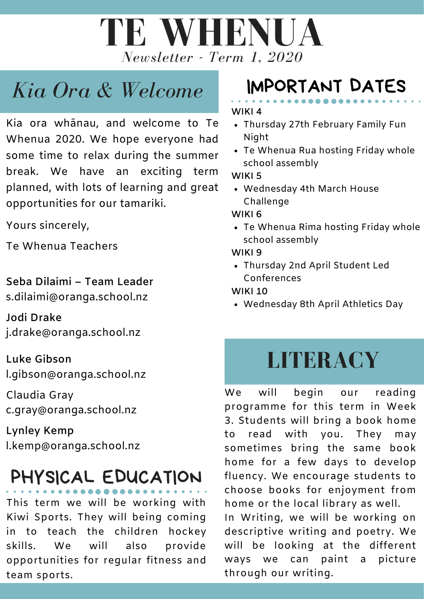

# *Kia Ora & Welcome*

Kia ora whānau, and welcome to Te Whenua 2020. We hope everyone had some time to relax during the summer break. We have an exciting term planned, with lots of learning and great opportunities for our tamariki.

Yours sincerely,

Te Whenua Teachers

**Seba Dilaimi – Team Leader** s.dilaimi@oranga.school.nz

**Jodi Drake** j.drake@oranga.school.nz

**Luke Gibson** l.gibson@oranga.school.nz

Claudia Gray c.gray@oranga.school.nz

**Lynley Kemp** l.kemp@oranga.school.nz

# PHYSICAL EDUCATION

This term we will be working with Kiwi Sports. They will being coming in to teach the children hockey skills. We will also provide opportunities for regular fitness and team sports.

# IMPORTANT DATES

#### **WIKI 4**

- Thursday 27th February Family Fun Night
- Te Whenua Rua hosting Friday whole school assembly

**WIKI 5**

Wednesday 4th March House Challenge

### **WIKI 6**

Te Whenua Rima hosting Friday whole school assembly

**WIKI 9**

Thursday 2nd April Student Led Conferences

### **WIKI 10**

Wednesday 8th April Athletics Day

# **LITERACY**

We will begin our reading programme for this term in Week 3. Students will bring a book home to read with you. They may sometimes bring the same book home for a few days to develop fluency. We encourage students to choose books for enjoyment from home or the local library as well.

In Writing, we will be working on descriptive writing and poetry. We will be looking at the different ways we can paint a picture through our writing.